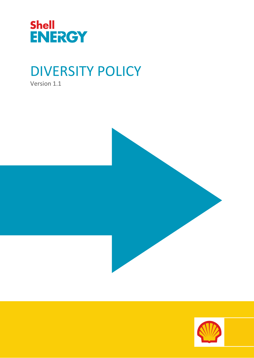

# DIVERSITY POLICY

Version 1.1



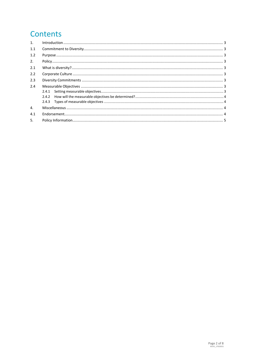# Contents

| 1 <sup>1</sup> | $\label{eq:1} \mbox{Introduction} \,\, \ldots \,\, \ldots \,\, \ldots \,\, \ldots \,\, \ldots \,\, \ldots \,\, \ldots \,\, \ldots \,\, \ldots \,\, \ldots \,\, \ldots \,\, \ldots \,\, \ldots \,\, \ldots \,\, \ldots \,\, \ldots \,\, \ldots \,\, \ldots \,\, \ldots \,\, \ldots \,\, \ldots \,\, \ldots \,\, \ldots \,\, \ldots \,\, \ldots \,\, \ldots \,\, \ldots \,\, \ldots \,\, \ldots \,\, \ldots \,\, \ldots \,\, \ldots \,\, \ldots \,\, \ldots \,\,$ |  |  |
|----------------|-----------------------------------------------------------------------------------------------------------------------------------------------------------------------------------------------------------------------------------------------------------------------------------------------------------------------------------------------------------------------------------------------------------------------------------------------------------------|--|--|
| 1.1            |                                                                                                                                                                                                                                                                                                                                                                                                                                                                 |  |  |
| 1.2            |                                                                                                                                                                                                                                                                                                                                                                                                                                                                 |  |  |
| 2.             |                                                                                                                                                                                                                                                                                                                                                                                                                                                                 |  |  |
| 2.1            |                                                                                                                                                                                                                                                                                                                                                                                                                                                                 |  |  |
| 2.2            |                                                                                                                                                                                                                                                                                                                                                                                                                                                                 |  |  |
| 2.3            |                                                                                                                                                                                                                                                                                                                                                                                                                                                                 |  |  |
| 2.4            |                                                                                                                                                                                                                                                                                                                                                                                                                                                                 |  |  |
|                |                                                                                                                                                                                                                                                                                                                                                                                                                                                                 |  |  |
|                |                                                                                                                                                                                                                                                                                                                                                                                                                                                                 |  |  |
|                |                                                                                                                                                                                                                                                                                                                                                                                                                                                                 |  |  |
| $\mathbf{4}$ . |                                                                                                                                                                                                                                                                                                                                                                                                                                                                 |  |  |
| 4.1            |                                                                                                                                                                                                                                                                                                                                                                                                                                                                 |  |  |
| 5.             |                                                                                                                                                                                                                                                                                                                                                                                                                                                                 |  |  |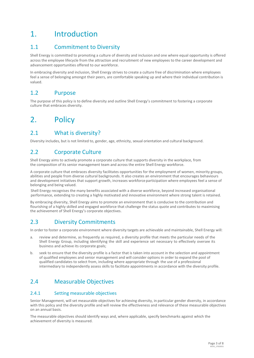# <span id="page-2-0"></span>1. Introduction

## <span id="page-2-1"></span>1.1 Commitment to Diversity

Shell Energy is committed to promoting a culture of diversity and inclusion and one where equal opportunity is offered across the employee lifecycle from the attraction and recruitment of new employees to the career development and advancement opportunities offered to our workforce.

In embracing diversity and inclusion, Shell Energy strives to create a culture free of discrimination where employees feel a sense of belonging amongst their peers, are comfortable speaking up and where their individual contribution is valued.

#### <span id="page-2-2"></span>1.2 Purpose

The purpose of this policy is to define diversity and outline Shell Energy's commitment to fostering a corporate culture that embraces diversity.

## <span id="page-2-3"></span>2. Policy

#### <span id="page-2-4"></span>2.1 What is diversity?

Diversity includes, but is not limited to, gender, age, ethnicity, sexual orientation and cultural background.

## <span id="page-2-5"></span>2.2 Corporate Culture

Shell Energy aims to actively promote a corporate culture that supports diversity in the workplace, from the composition of its senior management team and across the entire Shell Energy workforce.

A corporate culture that embraces diversity facilitates opportunities for the employment of women, minority groups, abilities and people from diverse cultural backgrounds. It also creates an environment that encourages behaviours and development initiatives that support growth, increases workforce participation where employees feel a sense of belonging and being valued.

Shell Energy recognises the many benefits associated with a diverse workforce, beyond increased organisational performance, extending to creating a highly motivated and innovative environment where strong talent is retained.

By embracing diversity, Shell Energy aims to promote an environment that is conducive to the contribution and flourishing of a highly skilled and engaged workforce that challenge the status quote and contributes to maximising the achievement of Shell Energy's corporate objectives.

## <span id="page-2-6"></span>2.3 Diversity Commitments

In order to foster a corporate environment where diversity targets are achievable and maintainable, Shell Energy will:

- a. review and determine, as frequently as required, a diversity profile that meets the particular needs of the Shell Energy Group, including identifying the skill and experience set necessary to effectively oversee its business and achieve its corporate goals;
- b. seek to ensure that the diversity profile is a factor that is taken into account in the selection and appointment of qualified employees and senior management and will consider options in order to expand the pool of qualified candidates to select from, including where appropriate through the use of a professional intermediary to independently assess skills to facilitate appointments in accordance with the diversity profile.

## <span id="page-2-7"></span>2.4 Measurable Objectives

#### <span id="page-2-8"></span>2.4.1 Setting measurable objectives

Senior Management, will set measurable objectives for achieving diversity, in particular gender diversity, in accordance with this policy and the diversity profile and will review the effectiveness and relevance of these measurable objectives on an annual basis.

The measurable objectives should identify ways and, where applicable, specify benchmarks against which the achievement of diversity is measured.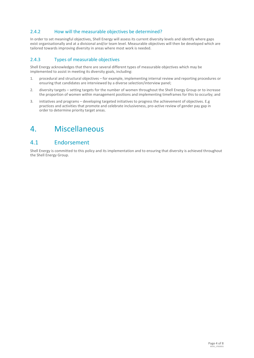#### <span id="page-3-0"></span>2.4.2 How will the measurable objectives be determined?

In order to set meaningful objectives, Shell Energy will assess its current diversity levels and identify where gaps exist organisationally and at a divisional and/or team level. Measurable objectives will then be developed which are tailored towards improving diversity in areas where most work is needed.

#### <span id="page-3-1"></span>2.4.3 Types of measurable objectives

Shell Energy acknowledges that there are several different types of measurable objectives which may be implemented to assist in meeting its diversity goals, including:

- 1. procedural and structural objectives for example, implementing internal review and reporting procedures or ensuring that candidates are interviewed by a diverse selection/interview panel;
- 2. diversity targets setting targets for the number of women throughout the Shell Energy Group or to increase the proportion of women within management positions and implementing timeframes for this to occurby; and
- 3. initiatives and programs developing targeted initiatives to progress the achievement of objectives. E.g practices and activities that promote and celebrate inclusiveness, pro-active review of gender pay gap in order to determine priority target areas.

## <span id="page-3-2"></span>4. Miscellaneous

#### <span id="page-3-3"></span>4.1 Endorsement

Shell Energy is committed to this policy and its implementation and to ensuring that diversity is achieved throughout the Shell Energy Group.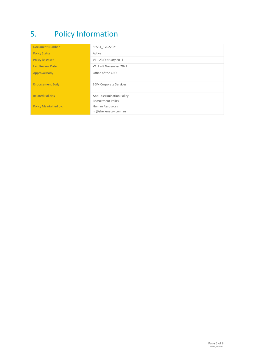# <span id="page-4-0"></span>5. Policy Information

| <b>Document Number:</b>      | SE531_17022021                    |
|------------------------------|-----------------------------------|
| <b>Policy Status:</b>        | Active                            |
| <b>Policy Released</b>       | V1 - 23 February 2011             |
| <b>Last Review Date</b>      | $V1.1 - 8$ November 2021          |
| <b>Approval Body</b>         | Office of the CEO                 |
| <b>Endorsement Body</b>      | <b>EGM Corporate Services</b>     |
| <b>Related Policies</b>      | <b>Anti-Discrimination Policy</b> |
|                              | <b>Recruitment Policy</b>         |
| <b>Policy Maintained by:</b> | Human Resources                   |
|                              | hr@shellenergy.com.au             |